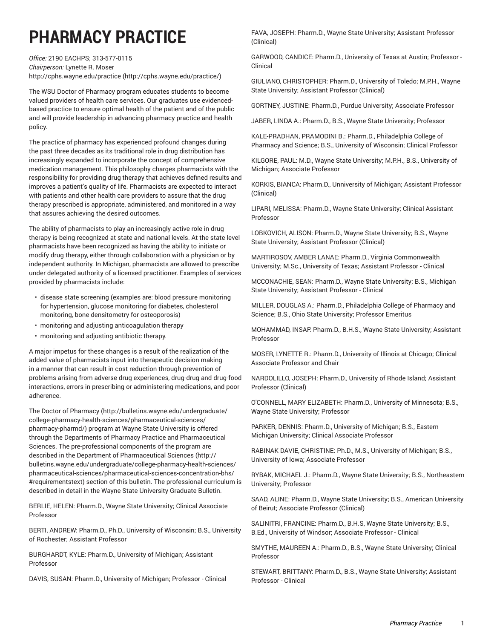## **PHARMACY PRACTICE**

*Office:* 2190 EACHPS; 313-577-0115 *Chairperson:* Lynette R. Moser [http://cphs.wayne.edu/practice](http://cphs.wayne.edu/practice/) ([http://cphs.wayne.edu/practice/\)](http://cphs.wayne.edu/practice/)

The WSU Doctor of Pharmacy program educates students to become valued providers of health care services. Our graduates use evidencedbased practice to ensure optimal health of the patient and of the public and will provide leadership in advancing pharmacy practice and health policy.

The practice of pharmacy has experienced profound changes during the past three decades as its traditional role in drug distribution has increasingly expanded to incorporate the concept of comprehensive medication management. This philosophy charges pharmacists with the responsibility for providing drug therapy that achieves defined results and improves a patient's quality of life. Pharmacists are expected to interact with patients and other health care providers to assure that the drug therapy prescribed is appropriate, administered, and monitored in a way that assures achieving the desired outcomes.

The ability of pharmacists to play an increasingly active role in drug therapy is being recognized at state and national levels. At the state level pharmacists have been recognized as having the ability to initiate or modify drug therapy, either through collaboration with a physician or by independent authority. In Michigan, pharmacists are allowed to prescribe under delegated authority of a licensed practitioner. Examples of services provided by pharmacists include:

- disease state screening (examples are: blood pressure monitoring for hypertension, glucose monitoring for diabetes, cholesterol monitoring, bone densitometry for osteoporosis)
- monitoring and adjusting anticoagulation therapy
- monitoring and adjusting antibiotic therapy.

A major impetus for these changes is a result of the realization of the added value of pharmacists input into therapeutic decision making in a manner that can result in cost reduction through prevention of problems arising from adverse drug experiences, drug-drug and drug-food interactions, errors in prescribing or administering medications, and poor adherence.

The [Doctor of Pharmacy](http://bulletins.wayne.edu/undergraduate/college-pharmacy-health-sciences/pharmaceutical-sciences/pharmacy-pharmd/) ([http://bulletins.wayne.edu/undergraduate/](http://bulletins.wayne.edu/undergraduate/college-pharmacy-health-sciences/pharmaceutical-sciences/pharmacy-pharmd/) [college-pharmacy-health-sciences/pharmaceutical-sciences/](http://bulletins.wayne.edu/undergraduate/college-pharmacy-health-sciences/pharmaceutical-sciences/pharmacy-pharmd/) [pharmacy-pharmd/](http://bulletins.wayne.edu/undergraduate/college-pharmacy-health-sciences/pharmaceutical-sciences/pharmacy-pharmd/)) program at Wayne State University is offered through the Departments of Pharmacy Practice and Pharmaceutical Sciences. The pre-professional components of the program are described in the Department of [Pharmaceutical](http://bulletins.wayne.edu/undergraduate/college-pharmacy-health-sciences/pharmaceutical-sciences/pharmaceutical-sciences-concentration-bhs/#requirementstext) Sciences ([http://](http://bulletins.wayne.edu/undergraduate/college-pharmacy-health-sciences/pharmaceutical-sciences/pharmaceutical-sciences-concentration-bhs/#requirementstext) [bulletins.wayne.edu/undergraduate/college-pharmacy-health-sciences/](http://bulletins.wayne.edu/undergraduate/college-pharmacy-health-sciences/pharmaceutical-sciences/pharmaceutical-sciences-concentration-bhs/#requirementstext) [pharmaceutical-sciences/pharmaceutical-sciences-concentration-bhs/](http://bulletins.wayne.edu/undergraduate/college-pharmacy-health-sciences/pharmaceutical-sciences/pharmaceutical-sciences-concentration-bhs/#requirementstext) [#requirementstext](http://bulletins.wayne.edu/undergraduate/college-pharmacy-health-sciences/pharmaceutical-sciences/pharmaceutical-sciences-concentration-bhs/#requirementstext)) section of this bulletin. The professional curriculum is described in detail in the Wayne State University Graduate Bulletin.

BERLIE, HELEN: Pharm.D., Wayne State University; Clinical Associate Professor

BERTI, ANDREW: Pharm.D., Ph.D., University of Wisconsin; B.S., University of Rochester; Assistant Professor

BURGHARDT, KYLE: Pharm.D., University of Michigan; Assistant Professor

DAVIS, SUSAN: Pharm.D., University of Michigan; Professor - Clinical

FAVA, JOSEPH: Pharm.D., Wayne State University; Assistant Professor (Clinical)

GARWOOD, CANDICE: Pharm.D., University of Texas at Austin; Professor - Clinical

GIULIANO, CHRISTOPHER: Pharm.D., University of Toledo; M.P.H., Wayne State University; Assistant Professor (Clinical)

GORTNEY, JUSTINE: Pharm.D., Purdue University; Associate Professor

JABER, LINDA A.: Pharm.D., B.S., Wayne State University; Professor

KALE-PRADHAN, PRAMODINI B.: Pharm.D., Philadelphia College of Pharmacy and Science; B.S., University of Wisconsin; Clinical Professor

KILGORE, PAUL: M.D., Wayne State University; M.P.H., B.S., University of Michigan; Associate Professor

KORKIS, BIANCA: Pharm.D., Unniversity of Michigan; Assistant Professor (Clinical)

LIPARI, MELISSA: Pharm.D., Wayne State University; Clinical Assistant Professor

LOBKOVICH, ALISON: Pharm.D., Wayne State University; B.S., Wayne State University; Assistant Professor (Clinical)

MARTIROSOV, AMBER LANAE: Pharm.D., Virginia Commonwealth University; M.Sc., University of Texas; Assistant Professor - Clinical

MCCONACHIE, SEAN: Pharm.D., Wayne State University; B.S., Michigan State University; Assistant Professor - Clinical

MILLER, DOUGLAS A.: Pharm.D., Philadelphia College of Pharmacy and Science; B.S., Ohio State University; Professor Emeritus

MOHAMMAD, INSAF: Pharm.D., B.H.S., Wayne State University; Assistant Professor

MOSER, LYNETTE R.: Pharm.D., University of Illinois at Chicago; Clinical Associate Professor and Chair

NARDOLILLO, JOSEPH: Pharm.D., University of Rhode Island; Assistant Professor (Clinical)

O'CONNELL, MARY ELIZABETH: Pharm.D., University of Minnesota; B.S., Wayne State University; Professor

PARKER, DENNIS: Pharm.D., University of Michigan; B.S., Eastern Michigan University; Clinical Associate Professor

RABINAK DAVIE, CHRISTINE: Ph.D., M.S., University of Michigan; B.S., University of Iowa; Associate Professor

RYBAK, MICHAEL J.: Pharm.D., Wayne State University; B.S., Northeastern University; Professor

SAAD, ALINE: Pharm.D., Wayne State University; B.S., American University of Beirut; Associate Professor (Clinical)

SALINITRI, FRANCINE: Pharm.D., B.H.S, Wayne State University; B.S., B.Ed., University of Windsor; Associate Professor - Clinical

SMYTHE, MAUREEN A.: Pharm.D., B.S., Wayne State University; Clinical Professor

STEWART, BRITTANY: Pharm.D., B.S., Wayne State University; Assistant Professor - Clinical